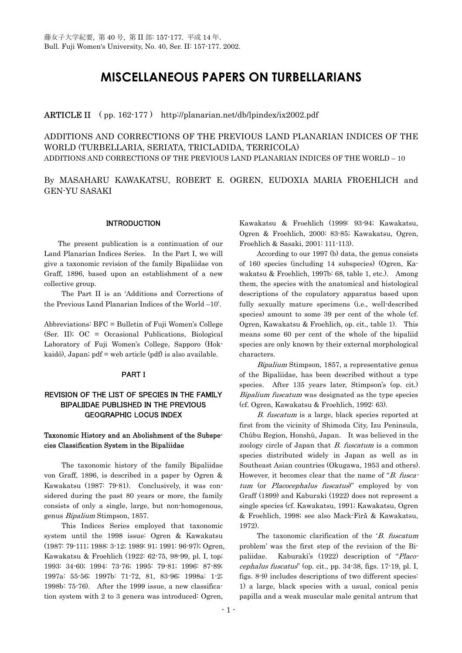# **MISCELLANEOUS PAPERS ON TURBELLARIANS**

# **ARTICLE II** (pp. 162-177) http://planarian.net/db/lpindex/ix2002.pdf

ADDITIONS AND CORRECTIONS OF THE PREVIOUS LAND PLANARIAN INDICES OF THE WORLD (TURBELLARIA, SERIATA, TRICLADIDA, TERRICOLA) ADDITIONS AND CORRECTIONS OF THE PREVIOUS LAND PLANARIAN INDICES OF THE WORLD – 10

By MASAHARU KAWAKATSU, ROBERT E. OGREN, EUDOXIA MARIA FROEHLICH and GEN-YU SASAKI

#### INTRODUCTION

 The present publication is a continuation of our Land Planarian Indices Series. In the Part I, we will give a taxonomic revision of the family Bipaliidae von Graff, 1896, based upon an establishment of a new collective group.

 The Part II is an 'Additions and Corrections of the Previous Land Planarian Indices of the World –10'.

Abbreviations: BFC = Bulletin of Fuji Women's College (Ser. II); OC = Occasional Publications, Biological Laboratory of Fuji Women's College, Sapporo (Hokkaidô), Japan; pdf = web article (pdf) is also available.

#### PART I

# REVISION OF THE LIST OF SPECIES IN THE FAMILY BIPALIIDAE PUBLISHED IN THE PREVIOUS GEOGRAPHIC LOCUS INDEX

# Taxonomic History and an Abolishment of the Subspecies Classification System in the Bipaliidae

The taxonomic history of the family Bipaliidae von Graff, 1896, is described in a paper by Ogren & Kawakatsu (1987: 79-81). Conclusively, it was considered during the past 80 years or more, the family consists of only a single, large, but non-homogenous, genus Bipalium Stimpson, 1857.

 This Indices Series employed that taxonomic system until the 1998 issue: Ogren & Kawakatsu (1987: 79-111; 1988: 3-12; 1989: 91; 1991: 96-97); Ogren, Kawakatsu & Froehlich (1922: 62-75, 98-99, pl. I, top; 1993: 34-60; 1994: 73-76; 1995: 79-81; 1996: 87-89; 1997a: 55-56; 1997b: 71-72, 81, 83-96; 1998a: 1-2; 1998b: 75-76). After the 1999 issue, a new classification system with 2 to 3 genera was introduced: Ogren,

Kawakatsu & Froehlich (1999: 93-94; Kawakatsu, Ogren & Froehlich, 2000: 83-85; Kawakatsu, Ogren, Froehlich & Sasaki, 2001: 111-113).

According to our 1997 (b) data, the genus consists of 160 species (including 14 subspecies) (Ogren, Kawakatsu & Froehlich, 1997b: 68, table 1, etc.). Among them, the species with the anatomical and histological descriptions of the copulatory apparatus based upon fully sexually mature specimens (i.e., well-described species) amount to some 39 per cent of the whole (cf. Ogren, Kawakatsu & Froehlich, op. cit., table 1). This means some 60 per cent of the whole of the bipaliid species are only known by their external morphological characters.

Bipalium Stimpson, 1857, a representative genus of the Bipaliidae, has been described without a type species. After 135 years later, Stimpson's (op. cit.) Bipalium fuscatum was designated as the type species (cf. Ogren, Kawakatsu & Froehlich, 1992: 63).

 B. fuscatum is a large, black species reported at first from the vicinity of Shimoda City, Izu Peninsula, Chûbu Region, Honshû, Japan. It was believed in the zoology circle of Japan that  $B$ . fuscatum is a common species distributed widely in Japan as well as in Southeast Asian countries (Okugawa, 1953 and others). However, it becomes clear that the name of "B. fuscatum (or Placocephalus fuscatus)" employed by von Graff (1899) and Kaburaki (1922) does not represent a single species (cf. Kawakatsu, 1991; Kawakatsu, Ogren & Froehlich, 1998; see also Mack-Firă & Kawakatsu, 1972).

The taxonomic clarification of the 'B. fuscatum problem' was the first step of the revision of the Bipaliidae. Kaburaki's (1922) description of "Placocephalus fuscatus" (op. cit., pp. 34-38, figs. 17-19, pl. I, figs. 8-9) includes descriptions of two different species: 1) a large, black species with a usual, conical penis papilla and a weak muscular male genital antrum that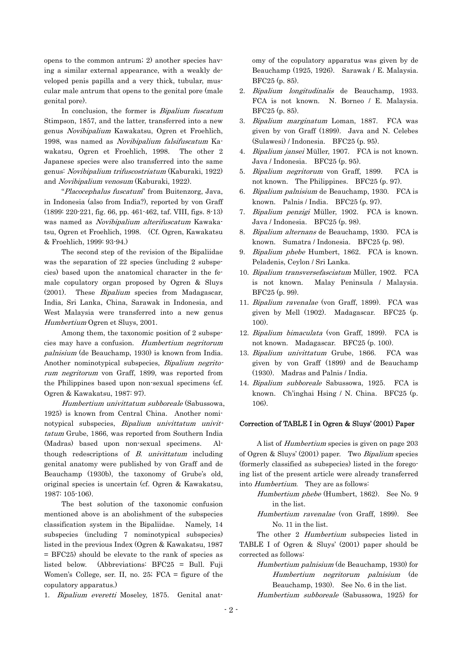opens to the common antrum; 2) another species having a similar external appearance, with a weakly developed penis papilla and a very thick, tubular, muscular male antrum that opens to the genital pore (male genital pore).

In conclusion, the former is *Bipalium fuscatum* Stimpson, 1857, and the latter, transferred into a new genus Novibipalium Kawakatsu, Ogren et Froehlich, 1998, was named as Novibipalium falsifuscatum Kawakatsu, Ogren et Froehlich, 1998. The other 2 Japanese species were also transferred into the same genus: Novibipalium trifuscostriatum (Kaburaki, 1922) and Novibipalium venosum (Kaburaki, 1922).

 "Placocephalus fuscatum" from Buitenzorg, Java, in Indonesia (also from India?), reported by von Graff (1899: 220-221, fig. 66, pp. 461-462, taf. VIII, figs. 8-13) was named as Novibipalium alterifuscatum Kawakatsu, Ogren et Froehlich, 1998. (Cf. Ogren, Kawakatsu & Froehlich, 1999: 93-94.)

The second step of the revision of the Bipaliidae was the separation of 22 species (including 2 subspecies) based upon the anatomical character in the female copulatory organ proposed by Ogren & Sluys (2001). These Bipalium species from Madagascar, India, Sri Lanka, China, Sarawak in Indonesia, and West Malaysia were transferred into a new genus Humbertium Ogren et Sluys, 2001.

cies may have a confusion. Humbertium negritorum rum negritorum von Graff, 1899, was reported from Among them, the taxonomic position of 2 subspepalnisium (de Beauchamp, 1930) is known from India. Another nominotypical subspecies, Bipalium negritothe Philippines based upon non-sexual specimens (cf. Ogren & Kawakatsu, 1987: 97).

Humbertium univittatum subboreale (Sabussowa, 1925) is known from Central China. Another nominotypical subspecies, Bipalium univittatum univittatum Grube, 1866, was reported from Southern India (Madras) based upon non-sexual specimens. Although redescriptions of  $B$ . univittatum including genital anatomy were published by von Graff and de Beauchamp (1930b), the taxonomy of Grube's old, original species is uncertain (cf. Ogren & Kawakatsu, 1987: 105-106).

The best solution of the taxonomic confusion mentioned above is an abolishment of the subspecies classification system in the Bipaliidae. Namely, 14 subspecies (including 7 nominotypical subspecies) listed in the previous Index (Ogren & Kawakatsu, 1987 = BFC25) should be elevate to the rank of species as listed below. (Abbreviations: BFC25 = Bull. Fuji Women's College, ser. II, no. 25; FCA = figure of the copulatory apparatus.)

1. Bipalium everetti Moseley, 1875. Genital anat-

omy of the copulatory apparatus was given by de Beauchamp (1925, 1926). Sarawak / E. Malaysia. BFC25 (p. 85).

- 2. Bipalium longitudinalis de Beauchamp, 1933. FCA is not known. N. Borneo / E. Malaysia. BFC25 (p. 85).
- 3. Bipalium marginatum Loman, 1887. FCA was given by von Graff (1899). Java and N. Celebes (Sulawesi) / Indonesia. BFC25 (p. 95).
- 4. Bipalium jansei Müller, 1907. FCA is not known. Java / Indonesia. BFC25 (p. 95).
- 5. Bipalium negritorum von Graff, 1899. FCA is not known. The Philippines. BFC25 (p. 97).
- 6. Bipalium palnisium de Beauchamp, 1930. FCA is known. Palnis / India. BFC25 (p. 97).
- 7. Bipalium penzigi Müller, 1902. FCA is known. Java / Indonesia. BFC25 (p. 98).
- 8. Bipalium alternans de Beauchamp, 1930. FCA is known. Sumatra / Indonesia. BFC25 (p. 98).
- 9. Bipalium phebe Humbert, 1862. FCA is known. Peladenis, Ceylon / Sri Lanka.
- 10. Bipalium transversefasciatum Müller, 1902. FCA is not known. Malay Peninsula / Malaysia. BFC25 (p. 99).
- 11. Bipalium ravenalae (von Graff, 1899). FCA was given by Mell (1902). Madagascar. BFC25 (p. 100).
- 12. *Bipalium bimaculata* (von Graff, 1899). FCA is not known. Madagascar. BFC25 (p. 100).
- 13. Bipalium univittatum Grube, 1866. FCA was given by von Graff (1899) and de Beauchamp (1930). Madras and Palnis / India.
- 14. Bipalium subboreale Sabussowa, 1925. FCA is known. Ch'inghai Hsing / N. China. BFC25 (p. 106).

#### Correction of TABLE I in Ogren & Sluys' (2001) Paper

 A list of Humbertium species is given on page 203 of Ogren & Sluys' (2001) paper. Two Bipalium species (formerly classified as subspecies) listed in the foregoing list of the present article were already transferred into *Humbertium*. They are as follows:

> Humbertium phebe (Humbert, 1862). See No. 9 in the list.

> Humbertium ravenalae (von Graff, 1899). See No. 11 in the list.

The other 2 Humbertium subspecies listed in TABLE I of Ogren & Sluys' (2001) paper should be corrected as follows:

 Humbertium palnisium (de Beauchamp, 1930) for Humbertium negritorum palnisium (de Beauchamp, 1930). See No. 6 in the list.

Humbertium subboreale (Sabussowa, 1925) for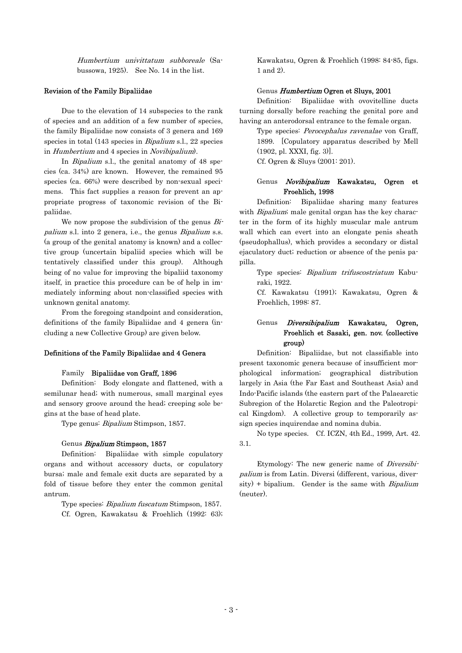Humbertium univittatum subboreale (Sabussowa, 1925). See No. 14 in the list.

#### Revision of the Family Bipaliidae

Due to the elevation of 14 subspecies to the rank of species and an addition of a few number of species, the family Bipaliidae now consists of 3 genera and 169 species in total (143 species in *Bipalium* s.l., 22 species in Humbertium and 4 species in Novibipalium).

In *Bipalium* s.l., the genital anatomy of 48 species (ca. 34%) are known. However, the remained 95 species (ca. 66%) were described by non-sexual specimens. This fact supplies a reason for prevent an appropriate progress of taxonomic revision of the Bipaliidae.

We now propose the subdivision of the genus  $Bi$ palium s.l. into 2 genera, i.e., the genus Bipalium s.s. (a group of the genital anatomy is known) and a collective group (uncertain bipaliid species which will be tentatively classified under this group). Although being of no value for improving the bipaliid taxonomy itself, in practice this procedure can be of help in immediately informing about non-classified species with unknown genital anatomy.

 From the foregoing standpoint and consideration, definitions of the family Bipaliidae and 4 genera (including a new Collective Group) are given below.

## Definitions of the Family Bipaliidae and 4 Genera

#### Family Bipaliidae von Graff, 1896

 Definition: Body elongate and flattened, with a semilunar head; with numerous, small marginal eyes and sensory groove around the head; creeping sole begins at the base of head plate.

Type genus: Bipalium Stimpson, 1857.

#### Genus Bipalium Stimpson, 1857

 Definition: Bipaliidae with simple copulatory organs and without accessory ducts, or copulatory bursa; male and female exit ducts are separated by a fold of tissue before they enter the common genital antrum.

 Type species: Bipalium fuscatum Stimpson, 1857. Cf. Ogren, Kawakatsu & Froehlich (1992: 63); Kawakatsu, Ogren & Froehlich (1998: 84-85, figs. 1 and 2).

#### Genus Humbertium Ogren et Sluys, 2001

 Definition: Bipaliidae with ovovitelline ducts turning dorsally before reaching the genital pore and having an anterodorsal entrance to the female organ.

 Type species: Perocephalus ravenalae von Graff, 1899. [Copulatory apparatus described by Mell (1902, pl. XXXI, fig. 3)].

Cf. Ogren & Sluys (2001: 201).

# Genus Novibipalium Kawakatsu, Ogren et Froehlich, 1998

 Definition: Bipaliidae sharing many features with Bipalium; male genital organ has the key character in the form of its highly muscular male antrum wall which can evert into an elongate penis sheath (pseudophallus), which provides a secondary or distal ejaculatory duct; reduction or absence of the penis papilla.

Type species: *Bipalium trifuscostriatum* Kaburaki, 1922.

 Cf. Kawakatsu (1991); Kawakatsu, Ogren & Froehlich, 1998: 87.

# Genus Diversibipalium Kawakatsu, Ogren, Froehlich et Sasaki, gen. nov. (collective group)

Definition: Bipaliidae, but not classifiable into present taxonomic genera because of insufficient morphological information; geographical distribution largely in Asia (the Far East and Southeast Asia) and Indo-Pacific islands (the eastern part of the Palaearctic Subregion of the Holarctic Region and the Paleotropical Kingdom). A collective group to temporarily assign species inquirendae and nomina dubia.

 No type species. Cf. ICZN, 4th Ed., 1999, Art. 42. 3.1.

Etymology: The new generic name of *Diversibi*palium is from Latin. Diversi (different, various, diver $sity$ ) + bipalium. Gender is the same with *Bipalium* (neuter).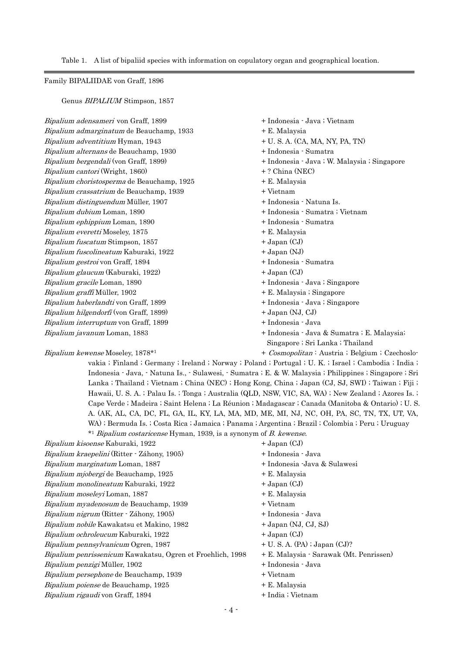Table 1. A list of bipaliid species with information on copulatory organ and geographical location.

# Family BIPALIIDAE von Graff, 1896

Genus BIPALIUM Stimpson, 1857

Bipalium adensameri von Graff, 1899  $+$  Indonesia - Java ; Vietnam Bipalium admarginatum de Beauchamp, 1933 + E. Malaysia  $Bipalium adventitium Hyman, 1943 + U. S. A. (CA, MA, NY, PA, TN)$ Bipalium alternans de Beauchamp, 1930 + Indonesia - Sumatra Bipalium bergendali (von Graff, 1899) + Indonesia - Java ; W. Malaysia ; Singapore Bipalium cantori (Wright, 1860)  $+?$  China (NEC)  $Bipalium choristosperma$  de Beauchamp, 1925  $+ E.$  Malaysia Bipalium crassatrium de Beauchamp, 1939 + Vietnam Bipalium fuscatum Stimpson, 1857 **+ Japan (CJ)** Bipalium haberlandti von Graff, 1899  $+$  Indonesia - Java ; Singapore Bipalium distinguendum Müller, 1907 + Indonesia - Natuna Is. Bipalium dubium Loman, 1890 + Indonesia - Sumatra ; Vietnam Bipalium ephippium Loman, 1890 **+ Indonesia** - Sumatra Bipalium everetti Moseley, 1875  $+ E$ . Malaysia Bipalium fuscolineatum Kaburaki, 1922 + Japan (NJ) Bipalium gestroi von Graff, 1894 + Indonesia - Sumatra Bipalium glaucum (Kaburaki, 1922)  $+$  Japan (CJ) Bipalium gracile Loman, 1890  $+$  Indonesia - Java ; Singapore Bipalium graffi Müller, 1902 **+ E. Malaysia** ; Singapore Bipalium hilgendorfi (von Graff, 1899)  $+$  Japan (NJ, CJ) Bipalium interruptum von Graff, 1899 + Indonesia - Java Bipalium javanum Loman, 1883  $+$  Indonesia - Java & Sumatra ; E. Malaysia; Singapore ; Sri Lanka ; Thailand

## Bipalium kewense Moseley, 1878<sup>\*1</sup> + Cosmopolitan : Austria ; Belgium ; Czechoslo-

vakia ; Finland ; Germany ; Ireland ; Norway ; Poland ; Portugal ; U. K. ; Israel ; Cambodia ; India ; Indonesia - Java, - Natuna Is., - Sulawesi, - Sumatra ; E. & W. Malaysia ; Philippines ; Singapore ; Sri Lanka ; Thailand ; Vietnam ; China (NEC) ; Hong Kong, China ; Japan (CJ, SJ, SWI) ; Taiwan ; Fiji ; Hawaii, U. S. A. ; Palau Is. ; Tonga ; Australia (QLD, NSW, VIC, SA, WA) ; New Zealand ; Azores Is. ; Cape Verde ; Madeira ; Saint Helena ; La Réunion ; Madagascar ; Canada (Manitoba & Ontario) ; U. S. A. (AK, AL, CA, DC, FL, GA, IL, KY, LA, MA, MD, ME, MI, NJ, NC, OH, PA, SC, TN, TX, UT, VA, WA) ; Bermuda Is. ; Costa Rica ; Jamaica ; Panama ; Argentina ; Brazil ; Colombia ; Peru ; Uruguay \*1 Bipalium costaricense Hyman, 1939, is a synonym of B. kewense.

| Bipalium kisoense Kaburaki, 1922                           | $+$ Japan (CJ)                          |
|------------------------------------------------------------|-----------------------------------------|
| Bipalium kraepelini (Ritter · Záhony, 1905)                | + Indonesia · Java                      |
| <i>Bipalium marginatum</i> Loman, 1887                     | + Indonesia -Java & Sulawesi            |
| <i>Bipalium mjobergi</i> de Beauchamp, 1925                | + E. Malaysia                           |
| Bipalium monolineatum Kaburaki, 1922                       | $+$ Japan (CJ)                          |
| <i>Bipalium moseleyi</i> Loman, 1887                       | + E. Malaysia                           |
| Bipalium myadenosum de Beauchamp, 1939                     | + Vietnam                               |
| Bipalium nigrum (Ritter - Záhony, 1905)                    | + Indonesia · Java                      |
| <i>Bipalium nobile</i> Kawakatsu et Makino, 1982           | $+$ Japan (NJ, CJ, SJ)                  |
| <i>Bipalium ochroleucum</i> Kaburaki, 1922                 | $+$ Japan (CJ)                          |
| <i>Bipalium pennsylvanicum</i> Ogren, 1987                 | $+ U$ . S. A. (PA); Japan (CJ)?         |
| Bipalium penrissenicum Kawakatsu, Ogren et Froehlich, 1998 | + E. Malaysia · Sarawak (Mt. Penrissen) |
| <i>Bipalium penzigi</i> Müller, 1902                       | + Indonesia · Java                      |
| Bipalium persephone de Beauchamp, 1939                     | + Vietnam                               |
| <i>Bipalium poiense</i> de Beauchamp, 1925                 | + E. Malaysia                           |
| Bipalium rigaudi von Graff, 1894                           | + India ; Vietnam                       |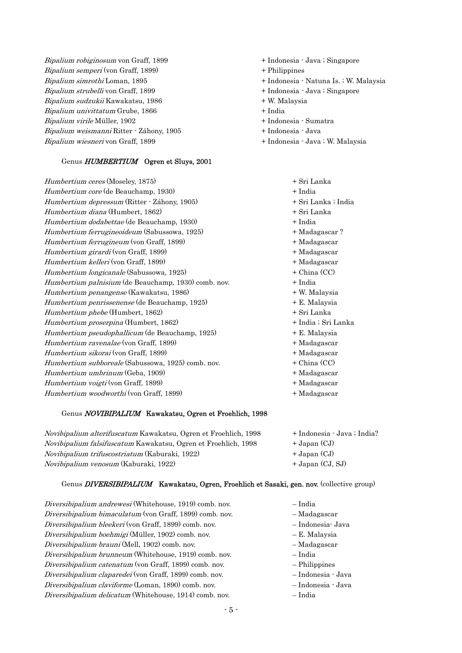Bipalium robiginosum von Graff, 1899 + Indonesia - Java ; Singapore Bipalium semperi (von Graff, 1899) + Philippines Bipalium simrothi Loman, 1895 + Indonesia - Natuna Is. ; W. Malaysia Bipalium strubelli von Graff, 1899  $+$  Indonesia - Java ; Singapore Bipalium sudzukii Kawakatsu, 1986 + W. Malaysia  $Bipalium univittatum$  Grube,  $1866$  + India Bipalium virile Müller, 1902 + Indonesia - Sumatra Bipalium weismanni Ritter - Záhony, 1905 + Indonesia - Java Bipalium wiesneri von Graff, 1899 + 1988 + Indonesia - Java ; W. Malaysia

## Genus HUMBERTIUM Ogren et Sluys, 2001

Humbertium ceres (Moseley, 1875) Humbertium core (de Beauchamp, 1930) Humbertium depressum (Ritter - Záhony, 1905) Humbertium diana (Humbert, 1862) Humbertium dodabettae (de Beauchamp, 1930) Humbertium ferrugineoideum (Sabussowa, 1925) Humbertium ferrugineum (von Graff, 1899) Humbertium girardi (von Graff, 1899) Humbertium kelleri (von Graff, 1899) Humbertium longicanale (Sabussowa, 1925) Humbertium palnisium (de Beauchamp, 1930) comb. nov. Humbertium penangense (Kawakatsu, 1986) Humbertium penrissenense (de Beauchamp, 1925) e Humbertium rav nalae (von Graff, 1899) + Madagascar o Humbertium v igti (von Graff, 1899) + Madagascar Humbertium phebe (Humbert, 1862) Humbertium proserpina (Humbert, 1862) Humbertium pseudophallicum (de Beauchamp, 1925) Humbertium sikorai (von Graff, 1899) Humbertium subboreale (Sabussowa, 1925) comb. nov. Humbertium umbrinum (Geba, 1909) Humbertium woodworthi (von Graff, 1899)  $+$  Madagascar

# Genus NOVIBIPALIUM Kawakatsu, Ogren et Froehlich, 1998

Novibipalium venosum (Kaburaki, 1922) + Japan (CJ, SJ) Novibipalium alterifuscatum Kawakatsu, Ogren et Froehlich, 1998 + Indonesia - Java; India? Novibipalium falsifuscatum Kawakatsu, Ogren et Froehlich, 1998 + Japan (CJ) Novibipalium trifuscostriatum (Kaburaki, 1922) + Japan (CJ)

## Genus *DIVERSIBIPALIUM* Kawakatsu, Ogren, Froehlich et Sasaki, gen. nov. (collective group)

Diversibipalium brunneum (Whitehouse, 1919) comb. nov. – The – India Diversibipalium andrewesi (Whitehouse, 1919) comb. nov. – India Diversibipalium bimaculatum (von Graff, 1899) comb. nov. – Madagascar Diversibipalium bleekeri (von Graff, 1899) comb. nov. – Indonesia- Java Diversibipalium boehmigi (Müller, 1902) comb. nov. – E. Malaysia Diversibipalium brauni (Mell, 1902) comb. nov. – Madagascar Diversibipalium catenatum (von Graff, 1899) comb. nov. – Philippines Diversibipalium claparedei (von Graff, 1899) comb. nov. – Indonesia - Java Diversibipalium claviforme (Loman, 1890) comb. nov. – Indonesia - Java Diversibipalium delicatum (Whitehouse, 1914) comb. nov. – India

- 
- 
- 
- 
- 
- 
- 
- 
- 

| + Sri Lanka         |
|---------------------|
| + India             |
| + Sri Lanka ; India |
| + Sri Lanka         |
| + India             |
| + Madagascar?       |
| + Madagascar        |
| + Madagascar        |
| + Madagascar        |
| + China (CC)        |
| + India             |
| + W. Malaysia       |
| + E. Malaysia       |
| + Sri Lanka         |
| + India ; Sri Lanka |
| + E. Malaysia       |
| + Madagascar        |
| + Madagascar        |
| + China (CC)        |
| + Madagascar        |
| + Madagascar        |

- 
- 
- 
- 
- 
- 
- 
- 
- 
-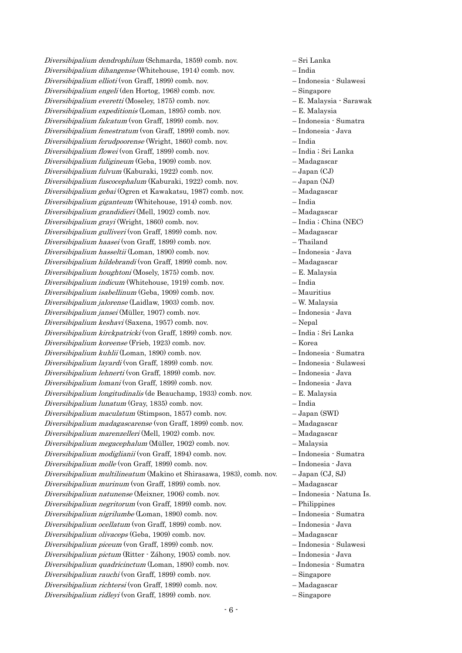Diversibipalium dendrophilum (Schmarda, 1859) comb. nov. – Sri Lanka Diversibipalium dihangense (Whitehouse, 1914) comb. nov. – India Diversibipalium ellioti (von Graff, 1899) comb. nov. – Indonesia - Sulawesi Diversibipalium engeli (den Hortog, 1968) comb. nov. – Singapore Diversibipalium everetti (Moseley, 1875) comb. nov. – E. Malaysia - Sarawak Diversibipalium expeditionis (Loman, 1895) comb. nov. – E. Malaysia Diversibipalium falcatum (von Graff, 1899) comb. nov. – Indonesia - Sumatra Diversibipalium fenestratum (von Graff, 1899) comb. nov. – Indonesia - Java Diversibipalium ferudpoorense (Wright, 1860) comb. nov. – India Diversibipalium flowei (von Graff, 1899) comb. nov. – India ; Sri Lanka Diversibipalium fuligineum (Geba, 1909) comb. nov. – Madagascar Diversibipalium fulvum (Kaburaki, 1922) comb. nov. – Japan (CJ) Diversibipalium fuscocephalum (Kaburaki, 1922) comb. nov. – Japan (NJ) Diversibipalium gebai (Ogren et Kawakatsu, 1987) comb. nov. – Madagascar Diversibipalium giganteum (Whitehouse, 1914) comb. nov. – India Diversibipalium grandidieri (Mell, 1902) comb. nov. – Madagascar Diversibipalium grayi (Wright, 1860) comb. nov. – India ; China (NEC) Diversibipalium gulliveri (von Graff, 1899) comb. nov. – Madagascar Diversibipalium haasei (von Graff, 1899) comb. nov. – Thailand Diversibipalium hasseltii (Loman, 1890) comb. nov. – Indonesia - Java Diversibipalium multilineatum (Makino et Shirasawa, 1983), comb. nov. – Japan (CJ, SJ) e Diversibipalium richt rsi (von Graff, 1899) comb. nov. – Madagascar Diversibipalium hildebrandi (von Graff, 1899) comb. nov. – Madagascar Diversibipalium houghtoni (Mosely, 1875) comb. nov. – E. Malaysia Diversibipalium indicum (Whitehouse, 1919) comb. nov. – India Diversibipalium isabellinum (Geba, 1909) comb. nov. – Mauritius Diversibipalium jalorense (Laidlaw, 1903) comb. nov. – W. Malaysia Diversibipalium jansei (Müller, 1907) comb. nov. – Indonesia - Java Diversibipalium keshavi (Saxena, 1957) comb. nov. – Nepal Diversibipalium kirckpatricki (von Graff, 1899) comb. nov. – India ; Sri Lanka Diversibipalium koreense (Frieb, 1923) comb. nov. – Korea Diversibipalium kuhlii (Loman, 1890) comb. nov. – Indonesia - Sumatra Diversibipalium layardi (von Graff, 1899) comb. nov. – Indonesia - Sulawesi Diversibipalium lehnerti (von Graff, 1899) comb. nov. – Indonesia - Java Diversibipalium lomani (von Graff, 1899) comb. nov. – Indonesia - Java Diversibipalium longitudinalis (de Beauchamp, 1933) comb. nov. – E. Malaysia Diversibipalium lunatum (Gray, 1835) comb. nov. – India Diversibipalium maculatum (Stimpson, 1857) comb. nov. – Japan (SWI) Diversibipalium madagascarense (von Graff, 1899) comb. nov. – Madagascar Diversibipalium marenzelleri (Mell, 1902) comb. nov. – Madagascar Diversibipalium megacephalum (Müller, 1902) comb. nov. – Malaysia Diversibipalium modiglianii (von Graff, 1894) comb. nov. – Indonesia - Sumatra Diversibipalium molle (von Graff, 1899) comb. nov. – Indonesia - Java Diversibipalium murinum (von Graff, 1899) comb. nov. – Madagascar Diversibipalium natunense (Meixner, 1906) comb. nov. – Indonesia - Natuna Is. Diversibipalium negritorum (von Graff, 1899) comb. nov. – Philippines Diversibipalium nigrilumbe (Loman, 1890) comb. nov. – Indonesia - Sumatra Diversibipalium ocellatum (von Graff, 1899) comb. nov. – Indonesia - Java Diversibipalium olivaceps (Geba, 1909) comb. nov. – Madagascar Diversibipalium piceum (von Graff, 1899) comb. nov. – Indonesia - Sulawesi Diversibipalium pictum (Ritter - Záhony, 1905) comb. nov. – Indonesia - Java Diversibipalium quadricinctum (Loman, 1890) comb. nov. – Indonesia - Sumatra Diversibipalium rauchi (von Graff, 1899) comb. nov. – Singapore Diversibipalium ridleyi (von Graff, 1899) comb. nov. – Singapore

- 
- 
-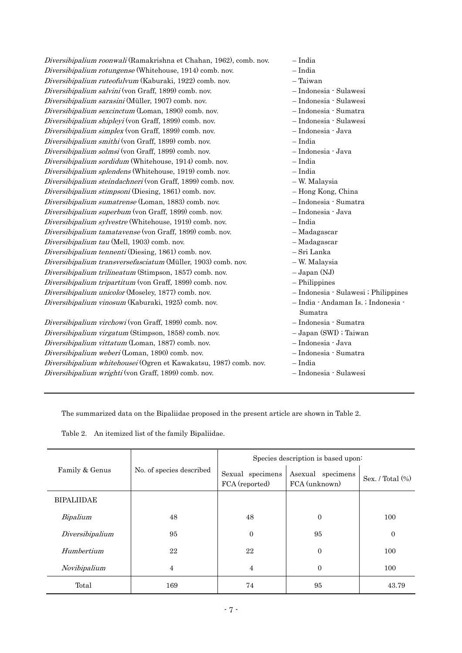| Diversibipalium roonwali (Ramakrishna et Chahan, 1962), comb. nov. | - India                                        |
|--------------------------------------------------------------------|------------------------------------------------|
| Diversibipalium rotungense (Whitehouse, 1914) comb. nov.           | $-$ India                                      |
| Diversibipalium ruteofulvum (Kaburaki, 1922) comb. nov.            | $-$ Taiwan                                     |
| Diversibipalium salvini (von Graff, 1899) comb. nov.               | - Indonesia · Sulawesi                         |
| Diversibipalium sarasini (Müller, 1907) comb. nov.                 | - Indonesia · Sulawesi                         |
| Diversibipalium sexcinctum (Loman, 1890) comb. nov.                | - Indonesia · Sumatra                          |
| Diversibipalium shipleyi (von Graff, 1899) comb. nov.              | - Indonesia · Sulawesi                         |
| Diversibipalium simplex (von Graff, 1899) comb. nov.               | - Indonesia · Java                             |
| Diversibipalium smithi (von Graff, 1899) comb. nov.                | $-$ India                                      |
| Diversibipalium solmsi (von Graff, 1899) comb. nov.                | - Indonesia · Java                             |
| Diversibipalium sordidum (Whitehouse, 1914) comb. nov.             | $-$ India                                      |
| Diversibipalium splendens (Whitehouse, 1919) comb. nov.            | - India                                        |
| Diversibipalium steindachneri (von Graff, 1899) comb. nov.         | - W. Malaysia                                  |
| Diversibipalium stimpsoni (Diesing, 1861) comb. nov.               | - Hong Kong, China                             |
| Diversibipalium sumatrense (Loman, 1883) comb. nov.                | - Indonesia · Sumatra                          |
| Diversibipalium superbum (von Graff, 1899) comb. nov.              | - Indonesia · Java                             |
| Diversibipalium sylvestre (Whitehouse, 1919) comb. nov.            | $-$ India                                      |
| Diversibipalium tamatavense (von Graff, 1899) comb. nov.           | - Madagascar                                   |
| Diversibipalium tau (Mell, 1903) comb. nov.                        | - Madagascar                                   |
| Diversibipalium tennenti (Diesing, 1861) comb. nov.                | - Sri Lanka                                    |
| Diversibipalium transversefasciatum (Müller, 1903) comb. nov.      | - W. Malaysia                                  |
| Diversibipalium trilineatum (Stimpson, 1857) comb. nov.            | $-Japan (NJ)$                                  |
| Diversibipalium tripartitum (von Graff, 1899) comb. nov.           | $-$ Philippines                                |
| Diversibipalium unicolor (Moseley, 1877) comb. nov.                | - Indonesia · Sulawesi ; Philippines           |
| Diversibipalium vinosum (Kaburaki, 1925) comb. nov.                | - India · Andaman Is. ; Indonesia ·<br>Sumatra |
| Diversibipalium virchowi (von Graff, 1899) comb. nov.              | - Indonesia · Sumatra                          |
| Diversibipalium virgatum (Stimpson, 1858) comb. nov.               | - Japan (SWI) ; Taiwan                         |
| Diversibipalium vittatum (Loman, 1887) comb. nov.                  | - Indonesia · Java                             |
| Diversibipalium weberi (Loman, 1890) comb. nov.                    | - Indonesia · Sumatra                          |
| Diversibipalium whitehousei (Ogren et Kawakatsu, 1987) comb. nov.  | - India                                        |
| Diversibipalium wrighti (von Graff, 1899) comb. nov.               | - Indonesia · Sulawesi                         |
|                                                                    |                                                |

The summarized data on the Bipaliidae proposed in the present article are shown in Table 2.

Table 2. An itemized list of the family Bipaliidae.

| Family & Genus    | No. of species described | Species description is based upon: |                                    |                     |
|-------------------|--------------------------|------------------------------------|------------------------------------|---------------------|
|                   |                          | Sexual specimens<br>FCA (reported) | Asexual specimens<br>FCA (unknown) | Sex. / Total $(\%)$ |
| <b>BIPALIIDAE</b> |                          |                                    |                                    |                     |
| Bipalium          | 48                       | 48                                 | $\Omega$                           | 100                 |
| Diversibipalium   | 95                       | $\overline{0}$                     | 95                                 | $\boldsymbol{0}$    |
| Humbertium        | 22                       | 22                                 | $\Omega$                           | 100                 |
| Novibipalium      | 4                        | 4                                  | $\Omega$                           | 100                 |
| Total             | 169                      | 74                                 | 95                                 | 43.79               |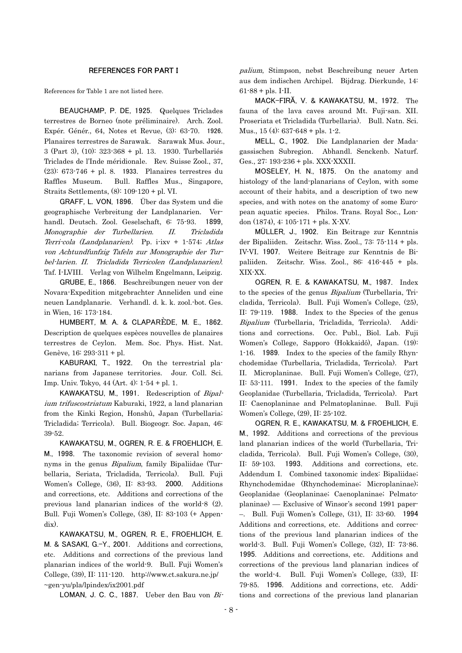## REFERENCES FOR PART I

References for Table 1 are not listed here.

BEAUCHAMP, P. DE, 1925. Quelques Triclades terrestres de Borneo (note préliminaire). Arch. Zool. Expér. Génér., 64, Notes et Revue, (3): 63-70. 1926. Planaires terrestres de Sarawak. Sarawak Mus. Jour., 3 (Part 3), (10): 323-368 + pl. 13. 1930. Turbellariés Triclades de l'Inde méridionale. Rev. Suisse Zool., 37, (23): 673-746 + pl. 8. 1933. Planaires terrestres du Raffles Museum. Bull. Raffles Mus., Singapore, Straits Settlements, (8): 109-120 + pl. VI.

GRAFF, L. VON, 1896. Über das System und die geographische Verbreitung der Landplanarien. Verhandl. Deutsch. Zool. Geselschaft, 6: 75-93. 1899, Monographie der Turbellarien. II. Tricladida Terri-cola (Landplanarien). Pp.  $i$ -ixv + 1-574; Atlas von Achtundfunfzig Tafeln zur Monographie der Turbel-larien. II. Tricladida Terricolen (Landplanarien). Taf. I-LVIII. Verlag von Wilhelm Engelmann, Leipzig.

GRUBE, E., 1866. Beschreibungen neuer von der Novara-Expedition mitgebrachter Anneliden und eine neuen Landplanarie. Verhandl. d. k. k. zool.-bot. Ges. in Wien, 16: 173-184.

HUMBERT, M. A. & CLAPARÈDE, M. E., 1862. Description de quelques espèces nouvelles de planaires terrestres de Ceylon. Mem. Soc. Phys. Hist. Nat. Genève, 16: 293-311 + pl.

KABURAKI, T., 1922. On the terrestrial planarians from Japanese territories. Jour. Coll. Sci. Imp. Univ. Tokyo, 44 (Art. 4): 1-54 + pl. 1.

KAWAKATSU, M., 1991. Redescription of Bipalium trifuscostriatum Kaburaki, 1922, a land planarian from the Kinki Region, Honshû, Japan (Turbellaria; Tricladida; Terricola). Bull. Biogeogr. Soc. Japan, 46: 39-52.

KAWAKATSU, M., OGREN, R. E. & FROEHLICH, E. M., 1998. The taxonomic revision of several homonyms in the genus Bipalium, family Bipaliidae (Turbellaria, Seriata, Tricladida, Terricola). Bull. Fuji Women's College, (36), II: 83-93. 2000. Additions and corrections, etc. Additions and corrections of the previous land planarian indices of the world-8 (2). Bull. Fuji Women's College, (38), II: 83-103 (+ Appendix).

KAWAKATSU, M., OGREN, R. E., FROEHLICH, E. M. & SASAKI, G.-Y., 2001. Additions and corrections, etc. Additions and corrections of the previous land planarian indices of the world-9. Bull. Fuji Women's College, (39), II: 111-120. <http://www.ct.sakura.ne.jp/> ~gen-yu/pla/lpindex/ix2001.pdf

LOMAN, J. C. C., 1887. Ueber den Bau von Bi-

palium, Stimpson, nebst Beschreibung neuer Arten aus dem indischen Archipel. Bijdrag. Dierkunde, 14:  $61-88 +$  pls. I-II.

MACK-FIRĂ, V. & KAWAKATSU, M., 1972. The fauna of the lava caves around Mt. Fuji-san. XII. Proseriata et Tricladida (Turbellaria). Bull. Natn. Sci. Mus., 15 (4): 637-648 + pls. 1-2.

MELL, C., 1902. Die Landplanarien der Madagassischen Subregion. Abhandl. Senckenb. Naturf. Ges., 27: 193-236 + pls. XXX-XXXII.

MOSELEY, H. N., 1875. On the anatomy and histology of the land-planarians of Ceylon, with some account of their habits, and a description of two new species, and with notes on the anatomy of some European aquatic species. Philos. Trans. Royal Soc., London (1874), 4: 105-171 + pls. X-XV.

MÜLLER, J., 1902. Ein Beitrage zur Kenntnis der Bipaliiden. Zeitschr. Wiss. Zool., 73: 75-114 + pls. IV-VI. 1907. Weitere Beitrage zur Kenntnis de Bipaliiden. Zeitschr. Wiss. Zool., 86: 416-445 + pls. XIX-XX.

OGREN, R. E. & KAWAKATSU, M., 1987. Index to the species of the genus Bipalium (Turbellaria, Tricladida, Terricola). Bull. Fuji Women's College, (25), II: 79-119. 1988. Index to the Species of the genus Bipalium (Turbellaria, Tricladida, Terricola). Additions and corrections. Occ. Publ., Biol. Lab. Fuji Women's College, Sapporo (Hokkaidô), Japan. (19): 1-16. 1989. Index to the species of the family Rhynchodemidae (Turbellaria, Tricladida, Terricola). Part II. Microplaninae. Bull. Fuji Women's College, (27), II: 53-111. 1991. Index to the species of the family Geoplanidae (Turbellaria, Tricladida, Terricola). Part II: Caenoplaninae and Pelmatoplaninae. Bull. Fuji Women's College, (29), II: 25-102.

OGREN, R. E., KAWAKATSU, M. & FROEHLICH, E. M., 1992. Additions and corrections of the previous land planarian indices of the world (Turbellaria, Tricladida, Terricola). Bull. Fuji Women's College, (30), II: 59-103. 1993. Additions and corrections, etc. Addendum I. Combined taxonomic index: Bipaliidae; Rhynchodemidae (Rhynchodeminae; Microplaninae); Geoplanidae (Geoplaninae; Caenoplaninae; Pelmatoplaninae) –– Exclusive of Winsor's second 1991 paper- –. Bull. Fuji Women's College, (31), II: 33-60. 1994 Additions and corrections, etc. Additions and corrections of the previous land planarian indices of the world-3. Bull. Fuji Women's College, (32), II: 73-86. 1995. Additions and corrections, etc. Additions and corrections of the previous land planarian indices of the world-4. Bull. Fuji Women's College, (33), II: 79-85. 1996. Additions and corrections, etc. Additions and corrections of the previous land planarian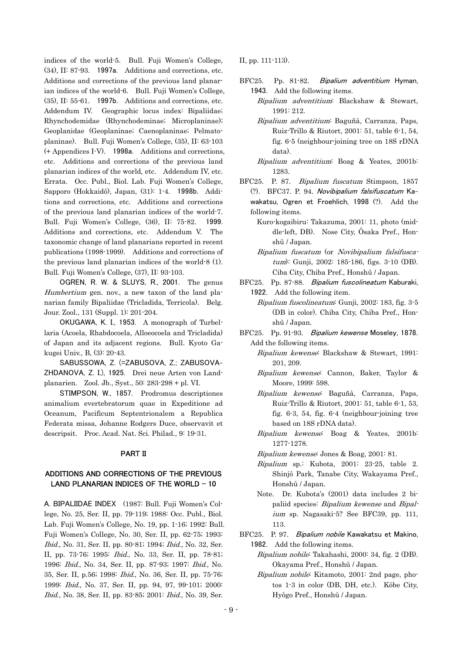indices of the world-5. Bull. Fuji Women's College, (34), II: 87-93. 1997a. Additions and corrections, etc. Additions and corrections of the previous land planarian indices of the world-6. Bull. Fuji Women's College, (35), II: 55-61. 1997b. Additions and corrections, etc. Addendum IV. Geographic locus index: Bipaliidae; Rhynchodemidae (Rhynchodeminae; Microplaninae); Geoplanidae (Geoplaninae; Caenoplaninae; Pelmatoplaninae). Bull. Fuji Women's College, (35), II: 63-103 (+ Appendices I-V). 1998a. Additions and corrections, etc. Additions and corrections of the previous land planarian indices of the world, etc. Addendum IV, etc. Errata. Occ. Publ., Biol. Lab. Fuji Women's College, Sapporo (Hokkaidô), Japan, (31): 1-4. 1998b. Additions and corrections, etc. Additions and corrections of the previous land planarian indices of the world-7. Bull. Fuji Women's College, (36), II: 75-82. 1999. Additions and corrections, etc. Addendum V. The taxonomic change of land planarians reported in recent publications (1998-1999). Additions and corrections of the previous land planarian indices of the world-8 (1). Bull. Fuji Women's College, (37), II: 93-103.

OGREN, R. W. & SLUYS, R., 2001. The genus Humbertium gen. nov., a new taxon of the land planarian family Bipaliidae (Tricladida, Terricola). Belg. Jour. Zool., 131 (Suppl. 1): 201-204.

OKUGAWA, K. I., 1953. A monograph of Turbellaria (Acoela, Rhabdocoela, Alloeocoela and Tricladida) of Japan and its adjacent regions. Bull. Kyoto Gakugei Univ., B, (3): 20-43.

SABUSSOWA, Z. (=ZABUSOVA, Z.; ZABUSOVA-ZHDANOVA, Z. I.), 1925. Drei neue Arten von Landplanarien. Zool. Jb., Syst., 50: 283-298 + pl. VI.

STIMPSON, W., 1857. Prodromus descriptiones animalium evertebratorum quae in Expeditione ad Oceanum, Pacificum Septentrionalem a Republica Federata missa, Johanne Rodgers Duce, observavit et descripsit. Proc. Acad. Nat. Sci. Philad., 9: 19-31.

## PART II

# ADDITIONS AND CORRECTIONS OF THE PREVIOUS LAND PLANARIAN INDICES OF THE WORLD  $-10$

A. BIPALIIDAE INDEX (1987: Bull. Fuji Women's College, No. 25, Ser. II, pp. 79-119; 1988: Occ. Publ., Biol. Lab. Fuji Women's College, No. 19, pp. 1-16; 1992: Bull. Fuji Women's College, No. 30, Ser. II, pp. 62-75; 1993: Ibid., No. 31, Ser. II, pp. 80-81; 1994; Ibid., No. 32, Ser. II, pp. 73-76; 1995: Ibid., No. 33, Ser. II, pp. 78-81; 1996: Ibid., No. 34, Ser. II, pp. 87-93; 1997: Ibid., No. 35, Ser. II, p.56; 1998: Ibid., No. 36, Ser. II, pp. 75-76; 1999: Ibid., No. 37, Ser. II, pp. 94, 97, 99-101; 2000: Ibid., No. 38, Ser. II, pp. 83-85; 2001: Ibid., No. 39, Ser.

II, pp. 111-113).

- BFC25. Pp. 81-82. Bipalium adventitium Hyman, 1943. Add the following items.
	- Bipalium adventitium: Blackshaw & Stewart, 1991: 212.
	- Bipalium adventitium: Baguñà, Carranza, Paps, Ruiz-Trillo & Riutort, 2001: 51, table 6-1, 54, fig. 6-5 (neighbour-joining tree on 18S rDNA data).
	- Bipalium adventitium: Boag & Yeates, 2001b: 1283.
- BFC25. P. 87. Bipalium fuscatum Stimpson, 1857 (?). BFC37. P. 94. Novibipalium falsifuscatum Kawakatsu, Ogren et Froehlich, 1998 (?). Add the following items.
	- Kuro-kogaibiru: Takazuma, 2001: 11, photo (middle-left, DB). Nose City, Ôsaka Pref., Honshû / Japan.
- Bipalium fuscatum (or Novibipalium falsifuscatum): Gunji, 2002: 185-186, figs. 3-10 (DB). Ciba City, Chiba Pref., Honshû / Japan.
- BFC25. Pp. 87-88. Bipalium fuscolineatum Kaburaki, 1922. Add the following item.
- Bipalium fuscolineatum: Gunji, 2002: 183, fig. 3-5 (DB in color). Chiba City, Chiba Pref., Honshû / Japan.
- BFC25. Pp. 91-93. Bipalium kewense Moseley, 1878. Add the following items.
	- Bipalium kewense: Blackshaw & Stewart, 1991: 201, 209.
	- Bipalium kewense: Cannon, Baker, Taylor & Moore, 1999: 598.
	- Bipalium kewense: Baguñà, Carranza, Paps, Ruiz-Trillo & Riutort, 2001: 51, table 6-1, 53, fig. 6-3, 54, fig. 6-4 (neighbour-joining tree based on 18S rDNA data).
	- Bipalium kewense: Boag & Yeates, 2001b: 1277-1278.
	- Bipalium kewense: Jones & Boag, 2001: 81.
- Bipalium sp.: Kubota, 2001: 23-25, table 2. Shinjô Park, Tanabe City, Wakayama Pref., Honshû / Japan.
	- Note. Dr. Kubota's (2001) data includes 2 bipaliid species: Bipalium kewense and Bipalium sp. Nagasaki-5? See BFC39, pp. 111, 113.
- BFC25. P. 97. Bipalium nobile Kawakatsu et Makino, 1982. Add the following items.
	- Bipalium nobile: Takahashi, 2000: 34, fig. 2 (DB). Okayama Pref., Honshû / Japan.
	- Bipalium nobile: Kitamoto, 2001: 2nd page, photos 1-3 in color (DB, DH, etc.). Kôbe City, Hyôgo Pref., Honshû / Japan.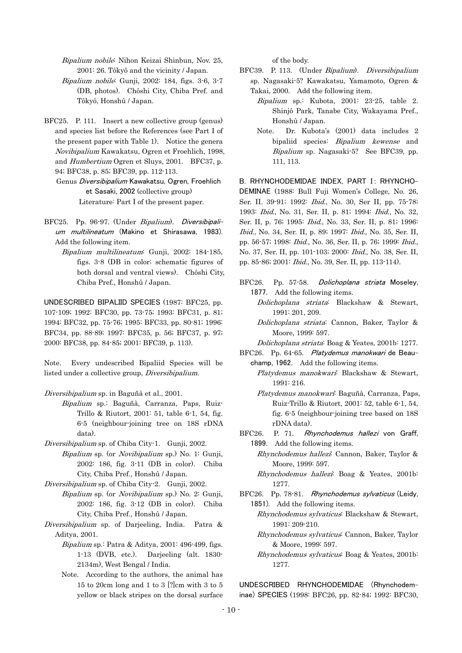Bipalium nobile: Nihon Keizai Shinbun, Nov. 25, 2001: 26. Tôkyô and the vicinity / Japan.

- Bipalium nobile: Gunji, 2002: 184, figs. 3-6, 3-7 (DB, photos). Chôshi City, Chiba Pref. and Tôkyô, Honshû / Japan.
- BFC25. P. 111. Insert a new collective group (genus) and species list before the References (see Part I of the present paper with Table 1). Notice the genera Novibipalium Kawakatsu, Ogren et Froehlich, 1998, and Humbertium Ogren et Sluys, 2001. BFC37, p. 94; BFC38, p. 85; BFC39, pp. 112-113.

 Genus Diversibipalium Kawakatsu, Ogren, Froehlich et Sasaki, 2002 (collective group) Literature: Part I of the present paper.

- BFC25. Pp. 96-97. (Under Bipalium). Diversibipalium multilineatum (Makino et Shirasawa, 1983). Add the following item.
	- Bipalium multilineatum: Gunji, 2002: 184-185, figs. 3-8 (DB in color; schematic figures of both dorsal and ventral views). Chôshi City, Chiba Pref., Honshû / Japan.

UNDESCRIBED BIPALIID SPECIES (1987: BFC25, pp. 107-109; 1992: BFC30, pp. 73-75; 1993: BFC31, p. 81; 1994: BFC32, pp. 75-76; 1995: BFC33, pp. 80-81; 1996: BFC34, pp. 88-89; 1997: BFC35, p. 56; BFC37, p. 97; 2000: BFC38, pp. 84-85; 2001: BFC39, p. 113).

Note. Every undescribed Bipaliid Species will be listed under a collective group, Diversibipalium.

- Diversibipalium sp. in Baguñà et al., 2001.
	- Bipalium sp.: Baguñà, Carranza, Paps, Ruiz-Trillo & Riutort, 2001: 51, table 6-1, 54, fig. 6-5 (neighbour-joining tree on 18S rDNA data).
- Diversibipalium sp. of Chiba City-1. Gunji, 2002.
	- Bipalium sp. (or Novibipalium sp.) No. 1: Gunji, 2002: 186, fig. 3-11 (DB in color). Chiba City, Chiba Pref., Honshû / Japan.
- Diversibipalium sp. of Chiba City-2. Gunji, 2002.
	- Bipalium sp. (or *Novibipalium* sp.) No. 2: Gunji, 2002: 186, fig. 3-12 (DB in color). Chiba City, Chiba Pref., Honshû / Japan.
- Diversibipalium sp. of Darjeeling, India. Patra & Aditya, 2001.
	- Bipalium sp.: Patra & Aditya, 2001: 496-499, figs. 1-13 (DVB, etc.). Darjeeling (alt. 1830- 2134m), West Bengal / India.
	- Note. According to the authors, the animal has 15 to 20cm long and 1 to 3 [?]cm with 3 to 5 yellow or black stripes on the dorsal surface

of the body.

- BFC39. P. 113. (Under Bipalium). Diversibipalium sp. Nagasaki-5? Kawakatsu, Yamamoto, Ogren & Takai, 2000. Add the following item.
- Bipalium sp.: Kubota, 2001: 23-25, table 2. Shinjô Park, Tanabe City, Wakayama Pref., Honshû / Japan.
	- Bipalium sp. Nagasaki-5? See BFC39, pp. Note. Dr. Kubota's (2001) data includes 2 bipaliid species: Bipalium kewense and 111, 113.

1993: *Ibid.*, No. 31, Ser. II, p. 81; 1994: *Ibid.*, No. 32, B. RHYNCHODEMIDAE INDEX. PART I: RHYNCHO-DEMINAE (1988: Bull Fuji Women's College, No. 26, Ser. II. 39-91; 1992: Ibid., No. 30, Ser II, pp. 75-78; Ser. II, p. 76; 1995: Ibid., No. 33, Ser. II, p. 81; 1996: Ibid., No. 34, Ser. II, p. 89; 1997: Ibid., No. 35, Ser. II, pp. 56-57; 1998: Ibid., No. 36, Ser. II, p. 76; 1999: Ibid., No. 37, Ser. II, pp. 101-103; 2000: Ibid., No. 38, Ser. II, pp. 85-86; 2001: Ibid., No. 39, Ser. II, pp. 113-114).

- BFC26. Pp. 57-58. Dolichoplana striata Moseley, 1877. Add the following items.
- Dolichoplana striata: Blackshaw & Stewart, 1991: 201, 209.
- Dolichoplana striata: Cannon, Baker, Taylor & Moore, 1999: 597.
- Dolichoplana striata: Boag & Yeates, 2001b: 1277.

BFC26. Pp. 64-65. Platydemus manokwari de Beauchamp, 1962. Add the following items.

- Platydemus manokwari: Blackshaw & Stewart, 1991: 216.
- Platydemus manokwari: Baguñà, Carranza, Paps, Ruiz-Trillo & Riutort, 2001: 52, table 6-1, 54, fig. 6-5 (neighbour-joining tree based on 18S rDNA data).
- BFC26. P. 71. Rhynchodemus hallezi von Graff, 1899. Add the following items.
	- Rhynchodemus hallezi: Cannon, Baker, Taylor & Moore, 1999: 597.
	- Rhynchodemus hallezi: Boag & Yeates, 2001b: 1277.
- BFC26. Pp. 78-81. Rhynchodemus sylvaticus (Leidy, 1851). Add the following items.
- Rhynchodemus sylvaticus: Blackshaw & Stewart, 1991: 209-210.
- Rhynchodemus sylvaticus: Cannon, Baker, Taylor & Moore, 1999: 597.
- Rhynchodemus sylvaticus: Boag & Yeates, 2001b: 1277.

UNDESCRIBED RHYNCHODEMIDAE (Rhynchodeminae) SPECIES (1998: BFC26, pp. 82-84; 1992: BFC30,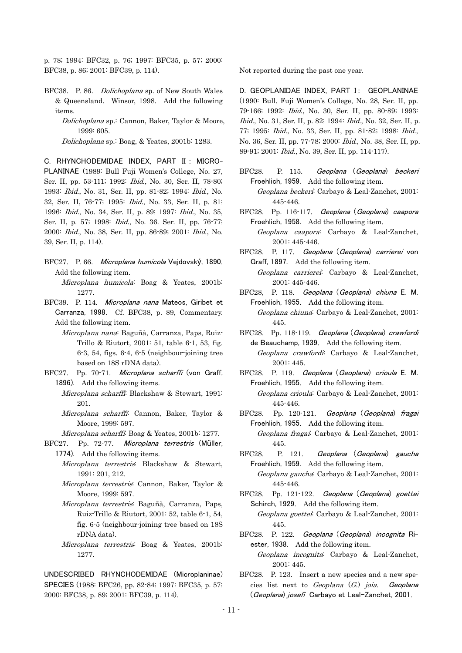p. 78; 1994: BFC32, p. 76; 1997: BFC35, p. 57; 2000: BFC38, p. 86; 2001: BFC39, p. 114).

- BFC38. P. 86. Dolichoplana sp. of New South Wales & Queensland. Winsor, 1998. Add the following items.
	- Dolichoplana sp.: Cannon, Baker, Taylor & Moore, 1999: 605.

Dolichoplana sp.: Boag, & Yeates, 2001b: 1283.

C. RHYNCHODEMIDAE INDEX, PART II : MICRO-PLANINAE (1989: Bull Fuji Women's College, No. 27, Ser. II, pp. 53-111; 1992: Ibid., No. 30, Ser. II, 78-80; 1993: Ibid., No. 31, Ser. II, pp. 81-82; 1994: Ibid., No. 32, Ser. II, 76-77; 1995: Ibid., No. 33, Ser. II, p. 81; 1996: Ibid., No. 34, Ser. II, p. 89; 1997: Ibid., No. 35, Ser. II, p. 57; 1998: Ibid., No. 36. Ser. II, pp. 76-77; 2000: Ibid., No. 38, Ser. II, pp. 86-89; 2001: Ibid., No. 39, Ser. II, p. 114).

- BFC27. P. 66. Microplana humicola Vejdovský, 1890. Add the following item. Microplana humicola: Boag & Yeates, 2001b: 1277.
- BFC39. P. 114. Microplana nana Mateos, Giribet et Carranza, 1998. Cf. BFC38, p. 89, Commentary. Add the following item.
	- Microplana nana: Baguñà, Carranza, Paps, Ruiz-Trillo & Riutort, 2001: 51, table 6-1, 53, fig. 6-3, 54, figs. 6-4, 6-5 (neighbour-joining tree based on 18S rDNA data).
- BFC27. Pp. 70-71. Microplana scharffi (von Graff, 1896). Add the following items.
- *Microplana scharffi*: Blackshaw & Stewart, 1991: 201.
- Microplana scharffi: Cannon, Baker, Taylor & Moore, 1999: 597.
	- Microplana scharffi: Boag & Yeates, 2001b: 1277.
- BFC27. Pp. 72-77. Microplana terrestris (Müller, 1774). Add the following items.
- Microplana terrestris: Blackshaw & Stewart, 1991: 201, 212.
- Microplana terrestris: Cannon, Baker, Taylor & Moore, 1999: 597.
- Microplana terrestris: Baguñà, Carranza, Paps, Ruiz-Trillo & Riutort, 2001: 52, table 6-1, 54, fig. 6-5 (neighbour-joining tree based on 18S rDNA data).
- Microplana terrestris: Boag & Yeates, 2001b: 1277.

UNDESCRIBED RHYNCHODEMIDAE (Microplaninae) SPECIES (1988: BFC26, pp. 82-84; 1997: BFC35, p. 57; 2000: BFC38, p. 89; 2001: BFC39, p. 114).

Not reported during the past one year.

D. GEOPLANIDAE INDEX, PART I: GEOPLANINAE (1990: Bull. Fuji Women's College, No. 28, Ser. II, pp. 79-166; 1992: Ibid., No. 30, Ser. II, pp. 80-89; 1993: Ibid., No. 31, Ser. II, p. 82; 1994: Ibid., No. 32, Ser. II, p. 77; 1995: Ibid., No. 33, Ser. II, pp. 81-82; 1998: Ibid., No. 36, Ser. II, pp. 77-78; 2000: Ibid., No. 38, Ser. II, pp. 89-91; 2001: Ibid., No. 39, Ser. II, pp. 114-117).

BFC28. P. 115. Geoplana (Geoplana) beckeri Froehlich, 1959. Add the following item.

 Geoplana beckeri: Carbayo & Leal-Zanchet, 2001: 445-446.

BFC28. Pp. 116-117. Geoplana (Geoplana) caapora Froehlich, 1958. Add the following item.

- Geoplana caapora: Carbayo & Leal-Zanchet, 2001: 445-446.
- BFC28. P. 117. Geoplana (Geoplana) carrierei von Graff, 1897. Add the following item.

 Geoplana carrierei: Carbayo & Leal-Zanchet, 2001: 445-446.

- BFC28, P. 118. Geoplana (Geoplana) chiuna E. M. Froehlich, 1955. Add the following item. Geoplana chiuna: Carbayo & Leal-Zanchet, 2001:
	- 445.
- BFC28. Pp. 118-119. Geoplana (Geoplana) crawfordi de Beauchamp, 1939. Add the following item.
	- Geoplana crawfordi: Carbayo & Leal-Zanchet, 2001: 445.
- BFC28. P. 119. Geoplana (Geoplana) crioula E. M. Froehlich, 1955. Add the following item.
	- Geoplana crioula: Carbayo & Leal-Zanchet, 2001: 445-446.
- BFC28. Pp. 120-121. Geoplana (Geoplana) fragai Froehlich, 1955. Add the following item.

 Geoplana fragai: Carbayo & Leal-Zanchet, 2001: 445.

- BFC28. P. 121. Geoplana (Geoplana) gaucha Froehlich, 1959. Add the following item.
	- Geoplana gaucha: Carbayo & Leal-Zanchet, 2001: 445-446.
- BFC28. Pp. 121-122. Geoplana (Geoplana) goettei Schirch, 1929. Add the following item.
	- Geoplana goettei: Carbayo & Leal-Zanchet, 2001: 445.
- BFC28. P. 122. Geoplana (Geoplana) incognita Riester, 1938. Add the following item.
	- Geoplana incognita: Carbayo & Leal-Zanchet, 2001: 445.
- BFC28. P. 123. Insert a new species and a new species list next to Geoplana  $(G)$  joia. Geoplana (Geoplana) josefi Carbayo et Leal-Zanchet, 2001.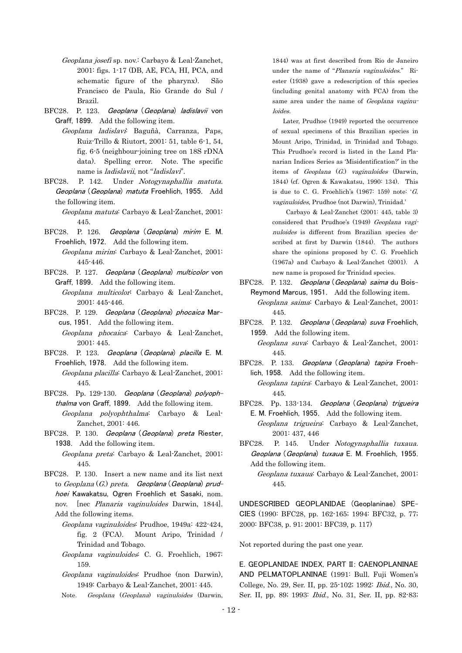- Geoplana josefi sp. nov.: Carbayo & Leal-Zanchet, 2001: figs. 1-17 (DB, AE, FCA, HI, PCA, and schematic figure of the pharynx). São Francisco de Paula, Rio Grande do Sul / Brazil.
- BFC28. P. 123. Geoplana (Geoplana) ladislavii von Graff, 1899. Add the following item.
	- Geoplana ladislavi: Baguñà, Carranza, Paps, Ruiz-Trillo & Riutort, 2001: 51, table 6-1, 54, fig. 6-5 (neighbour-joining tree on 18S rDNA data). Spelling error. Note. The specific name is *ladislavii*, not "*ladislavi*".
- BFC28. P. 142. Under Notogynaphallia matuta. Geoplana (Geoplana) matuta Froehlich, 1955. Add the following item.

 Geoplana matuta: Carbayo & Leal-Zanchet, 2001: 445.

- BFC28. P. 126. Geoplana (Geoplana) mirim E. M. Froehlich, 1972. Add the following item. Geoplana mirim: Carbayo & Leal-Zanchet, 2001: 445-446.
- BFC28. P. 127. Geoplana (Geoplana) multicolor von Graff, 1899. Add the following item.
	- Geoplana multicolor: Carbayo & Leal-Zanchet, 2001: 445-446.
- BFC28. P. 129. Geoplana (Geoplana) phocaica Marcus, 1951. Add the following item.
	- Geoplana phocaica: Carbayo & Leal-Zanchet, 2001: 445.
- BFC28. P. 123. Geoplana (Geoplana) placilla E. M. Froehlich, 1978. Add the following item.

 Geoplana placilla: Carbayo & Leal-Zanchet, 2001: 445.

- BFC28. Pp. 129-130. Geoplana (Geoplana) polyophthalma von Graff, 1899. Add the following item. Geoplana polyophthalma: Carbayo & Leal-Zanchet, 2001: 446.
- BFC28. P. 130. Geoplana (Geoplana) preta Riester, 1938. Add the following item.

 Geoplana preta: Carbayo & Leal-Zanchet, 2001: 445.

- nov. [nec *Planaria vaginuloides* Darwin, 1844]. BFC28. P. 130. Insert a new name and its list next to  $Geoplana(G.)$  preta. Geoplana (Geoplana) prudhoei Kawakatsu, Ogren Froehlich et Sasaki, nom. Add the following items.
	- Geoplana vaginuloides: Prudhoe, 1949a: 422-424, fig. 2 (FCA). Mount Aripo, Trinidad / Trinidad and Tobago.
	- Geoplana vaginuloides: C. G. Froehlich, 1967: 159.
	- Geoplana vaginuloides: Prudhoe (non Darwin), 1949: Carbayo & Leal-Zanchet, 2001: 445.
- Note. Geoplana (Geoplana) vaginuloides (Darwin,

1844) was at first described from Rio de Janeiro under the name of "Planaria vaginuloides." Riester (1938) gave a redescription of this species (including genital anatomy with FCA) from the same area under the name of Geoplana vaginuloides.

vaginuloides, Prudhoe (not Darwin), Trinidad.' Later, Prudhoe (1949) reported the occurrence of sexual specimens of this Brazilian species in Mount Aripo, Trinidad, in Trinidad and Tobago. This Prudhoe's record is listed in the Land Planarian Indices Series as 'Misidentification?' in the items of *Geoplana*  $(G)$  *vaginuloides* (Darwin, 1844) (cf. Ogren & Kawakatsu, 1990: 134). This is due to C. G. Froehlich's  $(1967: 159)$  note: 'G.

 Carbayo & Leal-Zanchet (2001: 445, table 3) considered that Prudhoe's (1949) Geoplana vaginuloides is different from Brazilian species described at first by Darwin (1844). The authors share the opinions proposed by C. G. Froehlich (1967a) and Carbayo & Leal-Zanchet (2001). A new name is proposed for Trinidad species.

BFC28. P. 132. Geoplana (Geoplana) saima du Bois-Reymond Marcus, 1951. Add the following item.

 Geoplana saima: Carbayo & Leal-Zanchet, 2001: 445.

- BFC28. P. 132. Geoplana (Geoplana) suva Froehlich, 1959. Add the following item. Geoplana suva: Carbayo & Leal-Zanchet, 2001: 445.
- BFC28. P. 133. Geoplana (Geoplana) tapira Froehlich, 1958. Add the following item.

 Geoplana tapira: Carbayo & Leal-Zanchet, 2001: 445.

BFC28. Pp. 133-134. Geoplana (Geoplana) trigueira E. M. Froehlich, 1955. Add the following item.

 Geoplana trigueira: Carbayo & Leal-Zanchet, 2001: 437, 446

BFC28. P. 145. Under Notogynaphallia tuxaua. Geoplana (Geoplana) tuxaua E. M. Froehlich, 1955. Add the following item.

UNDESCRIBED GEOPLANIDAE (Geoplaninae) SPE-CIES (1990: BFC28, pp. 162-165; 1994: BFC32, p. 77; 2000: BFC38, p. 91; 2001: BFC39, p. 117)

Not reported during the past one year.

E. GEOPLANIDAE INDEX, PART II: CAENOPLANINAE AND PELMATOPLANINAE (1991: Bull. Fuji Women's College, No. 29, Ser. II, pp. 25-102; 1992: Ibid., No. 30, Ser. II, pp. 89; 1993: Ibid., No. 31, Ser. II, pp. 82-83;

Geoplana tuxaua: Carbayo & Leal-Zanchet, 2001: 445.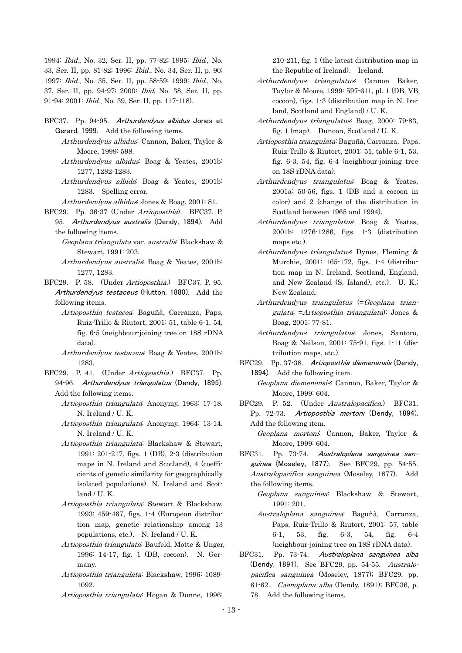1994: Ibid., No. 32, Ser. II, pp. 77-82; 1995: Ibid., No. 33, Ser. II, pp. 81-82; 1996: Ibid., No. 34, Ser. II, p. 90; 1997: Ibid., No. 35, Ser. II, pp. 58-59; 1999: Ibid., No. 37, Ser. II, pp. 94-97; 2000: Ibid, No. 38, Ser. II, pp. 91-94; 2001: Ibid., No. 39, Ser. II, pp. 117-118).

- BFC37. Pp. 94-95. Arthurdendyus albidus Jones et Gerard, 1999. Add the following items.
	- Arthurdendyus albidus: Cannon, Baker, Taylor & Moore, 1999: 598.
	- Arthurdendyus albidus: Boag & Yeates, 2001b: 1277, 1282-1283.
	- Arthurdendyus albida: Boag & Yeates, 2001b: 1283. Spelling error.
	- Arthurdendyus albidus: Jones & Boag, 2001: 81.
- BFC29. Pp. 36-37 (Under Artioposthia). BFC37. P. 95. Arthurdendyus australis (Dendy, 1894). Add the following items.
- *Geoplana triangulata* var. *australis*: Blackshaw & Stewart, 1991: 203.
- Arthurdendyus australis: Boag & Yeates, 2001b: 1277, 1283.
- BFC29. P. 58. (Under Artioposthia.) BFC37. P. 95. Arthurdendyus testaceus (Hutton, 1880). Add the following items.
	- Artioposthia testacea: Baguñà, Carranza, Paps, Ruiz-Trillo & Riutort, 2001: 51, table 6-1, 54, fig. 6-5 (neighbour-joining tree on 18S rDNA data).
- Arthurdendyus testaceus: Boag & Yeates, 2001b: 1283.
- BFC29. P. 41. (Under Artioposthia.) BFC37. Pp. 94-96. Arthurdendyus triangulatus (Dendy, 1895). Add the following items.
	- Artioposthia triangulata: Anonymy, 1963: 17-18. N. Ireland / U. K.
	- Artioposthia triangulata: Anonymy, 1964: 13-14. N. Ireland / U. K.
	- Artioposthia triangulata: Blackshaw & Stewart, 1991: 201-217, figs. 1 (DB), 2-3 (distribution maps in N. Ireland and Scotland), 4 (coefficients of genetic similarity for geographically isolated populations). N. Ireland and Scotland / U. K.
	- Artioposthia triangulata: Stewart & Blackshaw, 1993: 459-467, figs. 1-4 (European distribution map, genetic relationship among 13 populations, etc.). N. Ireland / U. K.
	- Artioposthia triangulata: Baufeld, Motte & Unger, 1996: 14-17, fig. 1 (DB, cocoon). N. Germany.
	- Artioposthia triangulata: Blackshaw, 1996: 1089- 1092.
	- Artioposthia triangulata: Hogan & Dunne, 1996:

210-211, fig. 1 (the latest distribution map in the Republic of Ireland). Ireland.

- Arthurdendyus triangulatus<sup>:</sup> Cannon Baker, Taylor & Moore, 1999: 597-611, pl. 1 (DB, VB, cocoon), figs. 1-3 (distribution map in N. Ireland, Scotland and England) / U. K.
- Arthurdendyus triangulatus: Boag, 2000: 79-83, fig. 1 (map). Dunoon, Scotland / U. K.
	- Artioposthia triangulata: Baguñà, Carranza, Paps, Ruiz-Trillo & Riutort, 2001: 51, table 6-1, 53, fig. 6-3, 54, fig. 6-4 (neighbour-joining tree on 18S rDNA data).
- Arthurdendyus triangulatus<sup>:</sup> Boag & Yeates, 2001a: 50-56, figs. 1 (DB and a cocoon in color) and 2 (change of the distribution in Scotland between 1965 and 1994).
- Arthurdendyus triangulatus<sup>:</sup> Boag & Yeates, 2001b: 1276-1286, figs. 1-3 (distribution maps etc.).
- Arthurdendyus triangulatus: Dynes, Fleming & Murchie, 2001: 165-172, figs. 1-4 (distribution map in N. Ireland, Scotland, England, and New Zealand (S. Island), etc.). U. K.; New Zealand.
- Arthurdendyus triangulatus (=Geoplana triangulata; = Artioposthia triangulata): Jones & Boag, 2001: 77-81.
- Arthurdendyus triangulatus Jones, Santoro, Boag & Neilson, 2001: 75-91, figs. 1-11 (distribution maps, etc.).
- BFC29. Pp. 37-38. Artioposthia diemenensis (Dendy, 1894). Add the following item.
	- Geoplana diemenensis: Cannon, Baker, Taylor & Moore, 1999: 604.
- BFC29. P. 52. (Under Australopacifica.) BFC31. Pp. 72-73. Artioposthia mortoni (Dendy, 1894). Add the following item.
	- Geoplana mortoni: Cannon, Baker, Taylor & Moore, 1999: 604.
- Australopacifica sanguinea (Moseley, 1877). Add BFC31. Pp. 73-74. Australoplana sanguinea sanguinea (Moseley, 1877). See BFC29, pp. 54-55. the following items.
	- Geoplana sanguinea: Blackshaw & Stewart, 1991: 201.
- Australoplana sanguinea: Baguñà, Carranza, Paps, Ruiz-Trillo & Riutort, 2001: 57, table 6-1, 53, fig. 6-3, 54, fig. 6-4 (neighbour-joining tree on 18S rDNA data).
- BFC31. Pp. 73-74. Australoplana sanguinea alba (Dendy, 1891). See BFC29, pp. 54-55. Australopacifica sanguinea (Moseley, 1877); BFC29, pp. 61-62. Caenoplana alba (Dendy, 1891); BFC36, p. 78. Add the following items.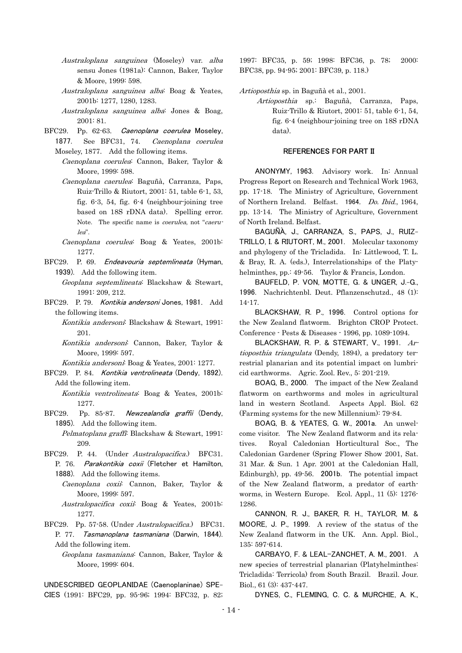- Australoplana sanguinea (Moseley) var. alba sensu Jones (1981a): Cannon, Baker, Taylor & Moore, 1999: 598.
- Australoplana sanguinea alba: Boag & Yeates, 2001b: 1277, 1280, 1283.
	- Australoplana sanguinea alba: Jones & Boag, 2001: 81.
- BFC29. Pp. 62-63. Caenoplana coerulea Moseley,
	- 1877. See BFC31, 74. Caenoplana coerulea Moseley, 1877. Add the following items.
		- Caenoplana coerulea: Cannon, Baker, Taylor & Moore, 1999: 598.
		- Caenoplana caerulea: Baguñà, Carranza, Paps, Ruiz-Trillo & Riutort, 2001: 51, table 6-1, 53, fig. 6-3, 54, fig. 6-4 (neighbour-joining tree based on 18S rDNA data). Spelling error. Note. The specific name is coerulea, not "caerulea".
		- Caenoplana coerulea: Boag & Yeates, 2001b: 1277.
- BFC29. P. 69. Endeavouria septemlineata (Hyman, 1939). Add the following item.
	- Geoplana septemlineata: Blackshaw & Stewart, 1991: 209, 212.
- BFC29. P. 79. Kontikia andersoni Jones, 1981. Add the following items.

 Kontikia andersoni: Blackshaw & Stewart, 1991: 201.

 Kontikia andersoni: Cannon, Baker, Taylor & Moore, 1999: 597.

Kontikia andersoni: Boag & Yeates, 2001: 1277.

- BFC29. P. 84. Kontikia ventrolineata (Dendy, 1892). Add the following item.
	- Kontikia ventrolineata: Boag & Yeates, 2001b: 1277.
- BFC29. Pp. 85-87. Newzealandia graffii (Dendy, 1895). Add the following item.
	- Pelmatoplana graffi: Blackshaw & Stewart, 1991: 209.
- BFC29. P. 44. (Under *Australopacifica*.) BFC31. P. 76. Parakontikia coxii (Fletcher et Hamilton, 1888). Add the following items.
	- Caenoplana coxii: Cannon, Baker, Taylor & Moore, 1999: 597.
	- Australopacifica coxii: Boag & Yeates, 2001b: 1277.
- BFC29. Pp. 57-58. (Under *Australopacifica*.) BFC31. P. 77. Tasmanoplana tasmaniana (Darwin, 1844). Add the following item.
	- Geoplana tasmaniana: Cannon, Baker, Taylor & Moore, 1999: 604.

UNDESCRIBED GEOPLANIDAE (Caenoplaninae) SPE-CIES (1991: BFC29, pp. 95-96; 1994: BFC32, p. 82; 1997: BFC35, p. 59; 1998: BFC36, p. 78; 2000: BFC38, pp. 94-95; 2001: BFC39, p. 118.)

Artioposthia sp. in Baguñà et al., 2001.

 Artioposthia sp.: Baguñà, Carranza, Paps, Ruiz-Trillo & Riutort, 2001: 51, table 6-1, 54, fig. 6-4 (neighbour-joining tree on 18S rDNA data).

## REFERENCES FOR PART II

ANONYMY, 1963. Advisory work. In: Annual Progress Report on Research and Technical Work 1963, pp. 17-18. The Ministry of Agriculture, Government of Northern Ireland. Belfast. 1964. Do. Ibid., 1964, pp. 13-14. The Ministry of Agriculture, Government of North Ireland. Belfast.

BAGUÑÀ, J., CARRANZA, S., PAPS, J., RUIZ-TRILLO, I. & RIUTORT, M., 2001. Molecular taxonomy and phylogeny of the Tricladida. In: Littlewood, T. L. & Bray, R. A. (eds.), Interrelationships of the Platyhelminthes, pp.: 49-56. Taylor & Francis, London.

BAUFELD, P. VON, MOTTE, G. & UNGER, J.-G., 1996. Nachrichtenbl. Deut. Pflanzenschutzd., 48 (1): 14-17.

BLACKSHAW, R. P., 1996. Control options for the New Zealand flatworm. Brighton CROP Protect. Conference - Pests & Diseases - 1996, pp. 1089-1094.

BLACKSHAW, R. P. & STEWART, V., 1991. Artioposthia triangulata (Dendy, 1894), a predatory terrestrial planarian and its potential impact on lumbricid earthworms. Agric. Zool. Rev., 5: 201-219.

BOAG, B., 2000. The impact of the New Zealand flatworm on earthworms and moles in agricultural land in western Scotland. Aspects Appl. Biol. 62 (Farming systems for the new Millennium): 79-84.

BOAG, B. & YEATES, G. W., 2001a. An unwelcome visitor. The New Zealand flatworm and its relatives. Royal Caledonian Horticultural Soc., The Caledonian Gardener (Spring Flower Show 2001, Sat. 31 Mar. & Sun. 1 Apr. 2001 at the Caledonian Hall, Edinburgh), pp. 49-56. 2001b. The potential impact of the New Zealand flatworm, a predator of earthworms, in Western Europe. Ecol. Appl., 11 (5): 1276- 1286.

CANNON, R. J., BAKER, R. H., TAYLOR, M. & MOORE, J. P., 1999. A review of the status of the New Zealand flatworm in the UK. Ann. Appl. Biol., 135: 597-614.

CARBAYO, F. & LEAL-ZANCHET, A. M., 2001. A new species of terrestrial planarian (Platyhelminthes: Tricladida: Terricola) from South Brazil. Brazil. Jour. Biol., 61 (3): 437-447.

DYNES, C., FLEMING, C. C. & MURCHIE, A. K.,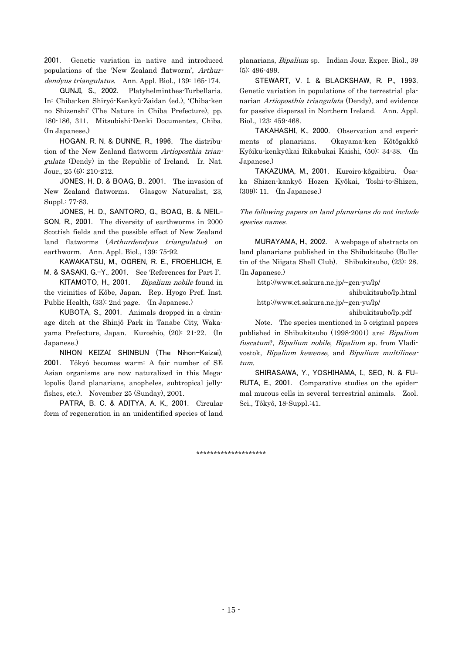2001. Genetic variation in native and introduced populations of the 'New Zealand flatworm', Arthurdendyus triangulatus. Ann. Appl. Biol., 139: 165-174.

GUNJI, S., 2002. Platyhelminthes-Turbellaria. In: Chiba-ken Shiryô-Kenkyû-Zaidan (ed.), 'Chiba-ken no Shizenshi' (The Nature in Chiba Prefecture), pp. 180-186, 311. Mitsubishi-Denki Documentex, Chiba. (In Japanese.)

gulata (Dendy) in the Republic of Ireland. Ir. Nat. HOGAN, R. N. & DUNNE, R., 1996. The distribution of the New Zealand flatworm Artioposthia trian-Jour., 25 (6): 210-212.

JONES, H. D. & BOAG, B., 2001. The invasion of New Zealand flatworms. Glasgow Naturalist, 23, Suppl.: 77-83.

JONES, H. D., SANTORO, G., BOAG, B. & NEIL-SON, R., 2001. The diversity of earthworms in 2000 Scottish fields and the possible effect of New Zealand land flatworms (Arthurdendyus triangulatus) on earthworm. Ann. Appl. Biol., 139: 75-92.

KAWAKATSU, M., OGREN, R. E., FROEHLICH, E. M. & SASAKI, G.-Y., 2001. See 'References for Part I'.

KITAMOTO, H., 2001. Bipalium nobile found in the vicinities of Kôbe, Japan. Rep. Hyogo Pref. Inst. Public Health, (33): 2nd page. (In Japanese.)

KUBOTA, S., 2001. Animals dropped in a drainage ditch at the Shinjô Park in Tanabe City, Wakayama Prefecture, Japan. Kuroshio, (20): 21-22. (In Japanese.)

NIHON KEIZAI SHINBUN (The Nihon-Keizai), 2001. Tôkyô becomes warm: A fair number of SE Asian organisms are now naturalized in this Megalopolis (land planarians, anopheles, subtropical jellyfishes, etc.). November 25 (Sunday), 2001.

PATRA, B. C. & ADITYA, A. K., 2001. Circular form of regeneration in an unidentified species of land planarians, Bipalium sp. Indian Jour. Exper. Biol., 39 (5): 496-499.

STEWART, V. I. & BLACKSHAW, R. P., 1993. Genetic variation in populations of the terrestrial planarian Artioposthia triangulata (Dendy), and evidence for passive dispersal in Northern Ireland. Ann. Appl. Biol., 123: 459-468.

TAKAHASHI, K., 2000. Observation and experiments of planarians. Okayama-ken Kôtôgakkô Kyôiku-kenkyûkai Rikabukai Kaishi, (50): 34-38. (In Japanese.)

TAKAZUMA, M., 2001. Kuroiro-kôgaibiru. Ôsaka Shizen-kankyô Hozen Kyôkai, Toshi-to-Shizen, (309): 11. (In Japanese.)

The following papers on land planarians do not include species names.

MURAYAMA, H., 2002. A webpage of abstracts on land planarians published in the Shibukitsubo (Bulletin of the Niigata Shell Club). Shibukitsubo, (23): 28. (In Japanese.)

http://www.ct.sakura.ne.jp/~gen-yu/lp/

shibukitsubo/lp.html

http://www.ct.sakura.ne.jp/~gen-yu/lp/

shibukitsubo/lp.pdf

Note. The species mentioned in 5 original papers published in Shibukitsubo (1998-2001) are: Bipalium fuscatum?, Bipalium nobile, Bipalium sp. from Vladivostok, Bipalium kewense, and Bipalium multilineatum.

SHIRASAWA, Y., YOSHIHAMA, I., SEO, N. & FU-RUTA, E., 2001. Comparative studies on the epidermal mucous cells in several terrestrial animals. Zool. Sci., Tôkyô, 18-Suppl.:41.

\*\*\*\*\*\*\*\*\*\*\*\*\*\*\*\*\*\*\*\*